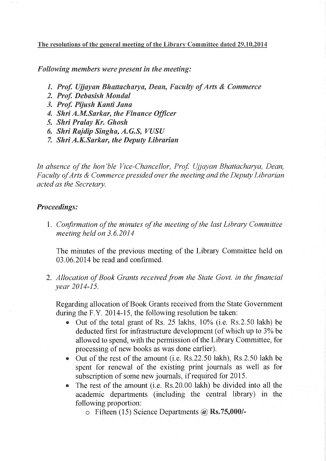The resolutions of the general meeting of the Library Committee dated 29.10.2014

*Following members were present in the meeting:* 

- *1. Prof. Ujjayan Bhattacharya, Dean, Faculty of Arts* & *Commerce*
- *2. Prof. Debasish Monda!*
- *3. Prof. Pijush Kanti Jana*
- *4. Shri A.M.Sarkar, the Finance Officer*
- 5. *Shri Pralay Kr. Ghosh*
- *6. Shri Rajdip Singha, A.G.S, VUSU*
- 7. *Shri A.K.Sarkar, the Deputy Librarian*

*In absence of the hon 'ble Vice-Chancellor, Prof. Ujjayan Bhattacharya, Dean, Faculty of Arts* & *Commerce presided over the meeting and the Deputy Librarian acted as the Secretary.* 

## *Proceedings:*

l. *Confirmation of the minutes of the meeting of the last Library Committee meeting held on 3.6.2014* 

The minutes of the previous meeting of the Library Committee held on 03.06.2014 be read and confirmed.

2. *Allocation of Book Grants received from the State Govt. in the financial year 2014-15.* 

Regarding allocation of Book Grants received from the State Government during the F.Y. 2014-15, the following resolution be taken:

- Out of the total grant of Rs. 25 lakhs, 10% (i.e. Rs. 2.50 lakh) be deducted first for infrastructure development (of which up to 3% be allowed to spend, with the permission of the Library Committee, for processing of new books as was done earlier).
- Out of the rest of the amount (i.e. Rs.22.50 lakh), Rs.2.50 lakh be spent for renewal of the existing print journals as well as for subscription of some new journals, if required for 2015.
- The rest of the amount (i.e. Rs.20.00 lakh) be divided into all the academic departments (including the central library) in the following proportion:
	- $\circ$  Fifteen (15) Science Departments  $\omega$  Rs.75,000/-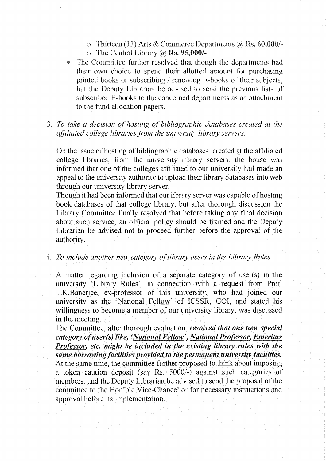- o Thirteen (13) Arts & Commerce Departments  $\omega$ , Rs. 60,000/-
- $\circ$  The Central Library  $\omega$  Rs. 95,000/-
- The Committee further resolved that though the departments had their own choice to spend their allotted amount for purchasing printed books or subscribing / renewing E-books of their subjects, but the Deputy Librarian be advised to send the previous lists of subscribed E-books to the concerned departments as an attachment to the fund allocation papers.
- 3. *To take a decision of hosting of bibliographic databases created at the affiliated college libraries from the university library servers.*

On the issue of hosting of bibliographic databases, created at the affiliated college libraries, from the university library servers, the house was informed that one of the colleges affiliated to our university had made an appeal to the university authority to upload their library databases into web through our university library server.

Though it had been informed that our library server was capable of hosting book databases of that college library, but after thorough discussion the Library Committee finally resolved that before taking any final decision about such service, an official policy should be framed and the Deputy Librarian be advised not to proceed further before the approval of the authority.

4. *To include another new category of library users in the Library Rules.* 

A matter regarding inclusion of a separate category of user(s) in the university 'Library Rules', in connection with a request from Prof. T.K.Banerjee, ex-professor of this university, who had joined our university as the 'National Fellow' of ICSSR, GOI, and stated his willingness to become a member of our university library, was discussed in the meeting.

The Committee, after thorough evaluation, *resolved that one new special category ofuser(s) like, 'National Fellow', National Professor, Emeritus Professor, etc. might be included in the existing library rules with the same borrowing facilities provided to the permanent university faculties.*  At the same time, the committee further proposed to think about imposing a token caution deposit (say Rs. 5000/-) against such categories of members, and the Deputy Librarian be advised to send the proposal of the committee to the Hon'ble Vice-Chancellor for necessary instructions and approval before its implementation.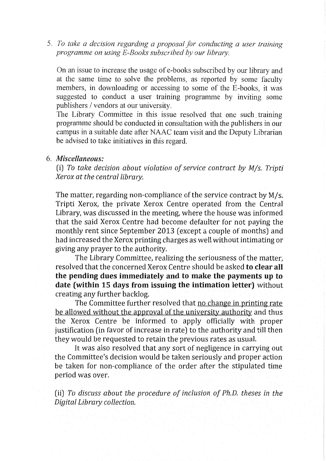5. *To take a decision regarding a proposal for conducting a user training programme on using E-Books subscribed by our library.* 

On an issue to increase the usage of e-books subscribed by our library and at the same time to solve the problems, as reported by some faculty members, in downloading or accessing to some of the E-books, it was suggested to conduct a user training programme by inviting some publishers / vendors at our university.

The Library Committee in this issue resolved that one such. training programme should be conducted in consultation with the publishers in our campus in a suitable date after NAAC team visit and the Deputy Librarian be advised to take initiatives in this regard.

## 6. *Miscellaneous:*

(i) *To take decision about violation of service contract by Mjs. Tripti Xerox at the centra/library.* 

The matter, regarding non-compliance of the service contract by  $M/s$ . Tripti Xerox, the private Xerox Centre operated from the Central Library, was discussed in the meeting, where the house was informed that the said Xerox Centre had become defaulter for not paying the monthly rent since September 2013 (except a couple of months) and had increased the Xerox printing charges as well without intimating or giving any prayer to the authority.

The Library Committee, realizing the seriousness of the matter, resolved that the concerned Xerox Centre should be asked to clear all the pending dues immediately and to make the payments up to date (within 15 days from issuing the intimation letter) without creating any further backlog.

The Committee further resolved that no change in printing rate be allowed without the approval of the university authority and thus the Xerox Centre be informed to apply officially with proper justification (in favor of increase in rate) to the authority and till then they would be requested to retain the previous rates as usual.

It was also resolved that any sort of negligence in carrying out the Committee's decision would be taken seriously and proper action be taken for non-compliance of the order after the stipulated time period was over.

(ii) *To discuss about the procedure of inclusion of Ph.D. theses in the Digital Library collection.*